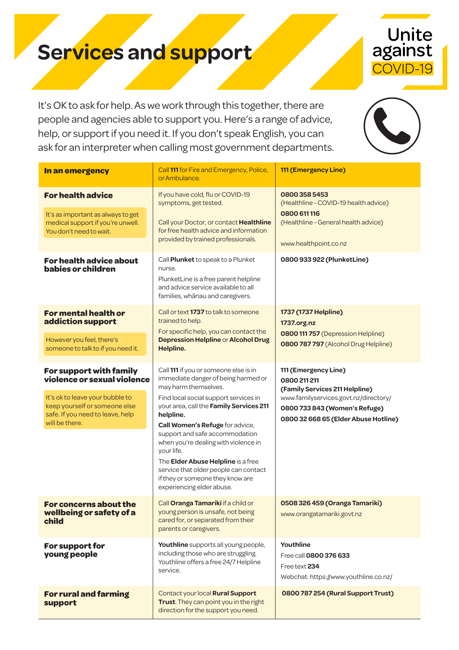## **Services and support**

It's OK to ask for help. As we work through this together, there are people and agencies able to support you. Here's a range of advice, help, or support if you need it. If you don't speak English, you can ask for an interpreter when calling most government departments.

Unite<br>against

COVID-19

| In an emergency                                                                                                                                                                        | Call 111 for Fire and Emergency, Police,<br>or Ambulance.                                                                                                                                                                                                                                                                                                                                                                                                                        | 111 (Emergency Line)                                                                                                                                                                     |
|----------------------------------------------------------------------------------------------------------------------------------------------------------------------------------------|----------------------------------------------------------------------------------------------------------------------------------------------------------------------------------------------------------------------------------------------------------------------------------------------------------------------------------------------------------------------------------------------------------------------------------------------------------------------------------|------------------------------------------------------------------------------------------------------------------------------------------------------------------------------------------|
| <b>For health advice</b><br>It's as important as always to get<br>medical support if you're unwell.<br>You don't need to wait.<br><b>For health advice about</b><br>babies or children | If you have cold, flu or COVID-19<br>symptoms, get tested.<br>Call your Doctor, or contact Healthline<br>for free health advice and information<br>provided by trained professionals.<br>Call Plunket to speak to a Plunket<br>nurse.<br>PlunketLine is a free parent helpline<br>and advice service available to all<br>families, whānau and caregivers.                                                                                                                        | 08003585453<br>(Healthline - COVID-19 health advice)<br>0800 611 116<br>(Healthline - General health advice)<br>www.healthpoint.co.nz<br>0800 933 922 (PlunketLine)                      |
| <b>For mental health or</b><br>addiction support<br>However you feel, there's<br>someone to talk to if you need it.                                                                    | Call or text 1737 to talk to someone<br>trained to help.<br>For specific help, you can contact the<br>Depression Helpline or Alcohol Drug<br><b>Helpline.</b>                                                                                                                                                                                                                                                                                                                    | 1737 (1737 Helpline)<br>1737.org.nz<br>0800 111 757 (Depression Helpline)<br>0800 787 797 (Alcohol Drug Helpline)                                                                        |
| For support with family<br>violence or sexual violence<br>It's ok to leave your bubble to<br>keep yourself or someone else<br>safe. If you need to leave, help<br>will be there.       | Call 111 if you or someone else is in<br>immediate danger of being harmed or<br>may harm themselves.<br>Find local social support services in<br>your area, call the Family Services 211<br>helpline.<br>Call Women's Refuge for advice,<br>support and safe accommodation<br>when you're dealing with violence in<br>your life.<br>The Elder Abuse Helpline is a free<br>service that older people can contact<br>if they or someone they know are<br>experiencing elder abuse. | 111 (Emergency Line)<br>0800 211 211<br>(Family Services 211 Helpline)<br>www.familyservices.govt.nz/directory/<br>0800 733 843 (Women's Refuge)<br>0800 32 668 65 (Elder Abuse Hotline) |
| For concerns about the<br>wellbeing or safety of a<br>child                                                                                                                            | Call Oranga Tamariki if a child or<br>young person is unsafe, not being<br>cared for, or separated from their<br>parents or caregivers.                                                                                                                                                                                                                                                                                                                                          | 0508 326 459 (Oranga Tamariki)<br>www.orangatamariki.govt.nz                                                                                                                             |
| For support for<br>young people                                                                                                                                                        | Youthline supports all young people,<br>including those who are struggling.<br>Youthline offers a free 24/7 Helpline<br>service.                                                                                                                                                                                                                                                                                                                                                 | Youthline<br>Free call 0800 376 633<br>Free text 234<br>Webchat: https://www.youthline.co.nz/                                                                                            |
| <b>For rural and farming</b><br>support                                                                                                                                                | Contact your local Rural Support<br>Trust. They can point you in the right<br>direction for the support you need.                                                                                                                                                                                                                                                                                                                                                                | 0800 787 254 (Rural Support Trust)                                                                                                                                                       |